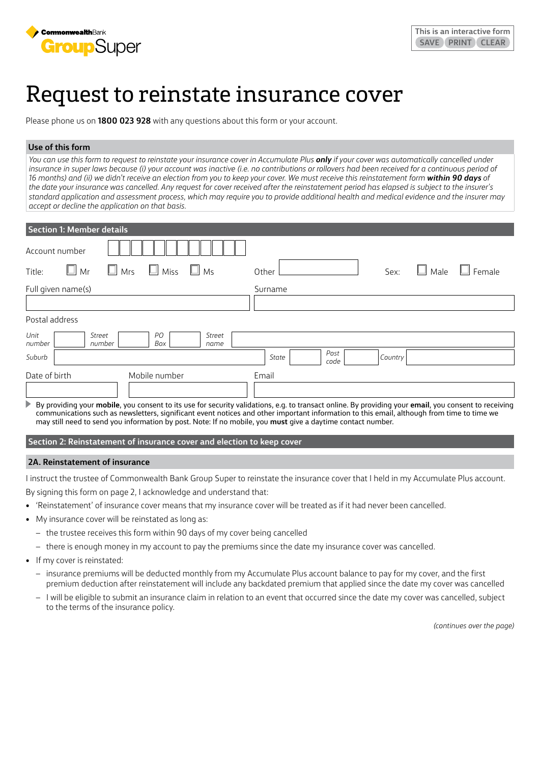

# Request to reinstate insurance cover

Please phone us on **1800 023 928** with any questions about this form or your account.

## **Use of this form**

*You can use this form to request to reinstate your insurance cover in Accumulate Plus only if your cover was automatically cancelled under*  insurance in super laws because (i) your account was inactive (i.e. no contributions or rollovers had been received for a continuous period of 16 months) and (ii) we didn't receive an election from you to keep your cover. We must receive this reinstatement form within 90 days of *the date your insurance was cancelled. Any request for cover received after the reinstatement period has elapsed is subject to the insurer's standard application and assessment process, which may require you to provide additional health and medical evidence and the insurer may accept or decline the application on that basis.*

| <b>Section 1: Member details</b>                                                                                                                                                                                                                                                                                                                                                                                   |                                  |
|--------------------------------------------------------------------------------------------------------------------------------------------------------------------------------------------------------------------------------------------------------------------------------------------------------------------------------------------------------------------------------------------------------------------|----------------------------------|
| Account number                                                                                                                                                                                                                                                                                                                                                                                                     |                                  |
| $\Box$ Mrs<br>Miss<br>Mr<br>M <sub>S</sub><br>Title:                                                                                                                                                                                                                                                                                                                                                               | Female<br>Male<br>Sex:<br>Other  |
| Full given name(s)                                                                                                                                                                                                                                                                                                                                                                                                 | Surname                          |
|                                                                                                                                                                                                                                                                                                                                                                                                                    |                                  |
| Postal address                                                                                                                                                                                                                                                                                                                                                                                                     |                                  |
| Unit<br>PO<br>Street<br>Street<br>Box<br>number<br>number<br>name                                                                                                                                                                                                                                                                                                                                                  |                                  |
| Suburb                                                                                                                                                                                                                                                                                                                                                                                                             | Post<br>State<br>Country<br>code |
| Date of birth<br>Mobile number                                                                                                                                                                                                                                                                                                                                                                                     | Email                            |
|                                                                                                                                                                                                                                                                                                                                                                                                                    |                                  |
| By providing your mobile, you consent to its use for security validations, e.g. to transact online. By providing your email, you consent to receiving<br>communications such as newsletters, significant event notices and other important information to this email, although from time to time we<br>may still need to send you information by post. Note: If no mobile, you must give a daytime contact number. |                                  |

## **Section 2: Reinstatement of insurance cover and election to keep cover**

#### **2A. Reinstatement of insurance**

I instruct the trustee of Commonwealth Bank Group Super to reinstate the insurance cover that I held in my Accumulate Plus account.

By signing this form on page 2, I acknowledge and understand that:

- 'Reinstatement' of insurance cover means that my insurance cover will be treated as if it had never been cancelled.
- My insurance cover will be reinstated as long as:
	- the trustee receives this form within 90 days of my cover being cancelled
	- there is enough money in my account to pay the premiums since the date my insurance cover was cancelled.
- If my cover is reinstated:
	- insurance premiums will be deducted monthly from my Accumulate Plus account balance to pay for my cover, and the first premium deduction after reinstatement will include any backdated premium that applied since the date my cover was cancelled
	- I will be eligible to submit an insurance claim in relation to an event that occurred since the date my cover was cancelled, subject to the terms of the insurance policy.

*(continues over the page)*